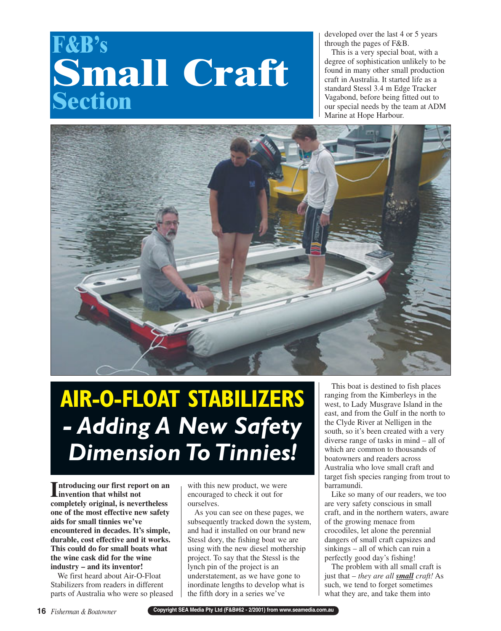## **F&B's Small Craft Section**

developed over the last 4 or 5 years through the pages of F&B.

This is a very special boat, with a degree of sophistication unlikely to be found in many other small production craft in Australia. It started life as a standard Stessl 3.4 m Edge Tracker Vagabond, before being fitted out to our special needs by the team at ADM Marine at Hope Harbour.



## **AIR-O-FLOAT STABILIZERS** *- Adding A New Safety Dimension To Tinnies!*

**I**<br> **I** invention that whilst not<br>  $\frac{1}{2}$ **invention that whilst not completely original, is nevertheless one of the most effective new safety aids for small tinnies we've encountered in decades. It's simple, durable, cost effective and it works. This could do for small boats what the wine cask did for the wine industry – and its inventor!**

We first heard about Air-O-Float Stabilizers from readers in different parts of Australia who were so pleased

with this new product, we were encouraged to check it out for ourselves.

As you can see on these pages, we subsequently tracked down the system, and had it installed on our brand new Stessl dory, the fishing boat we are using with the new diesel mothership project. To say that the Stessl is the lynch pin of the project is an understatement, as we have gone to inordinate lengths to develop what is the fifth dory in a series we've

This boat is destined to fish places ranging from the Kimberleys in the west, to Lady Musgrave Island in the east, and from the Gulf in the north to the Clyde River at Nelligen in the south, so it's been created with a very diverse range of tasks in mind – all of which are common to thousands of boatowners and readers across Australia who love small craft and target fish species ranging from trout to barramundi.

Like so many of our readers, we too are very safety conscious in small craft, and in the northern waters, aware of the growing menace from crocodiles, let alone the perennial dangers of small craft capsizes and sinkings – all of which can ruin a perfectly good day's fishing!

The problem with all small craft is just that – *they are all small craft!* As such, we tend to forget sometimes what they are, and take them into